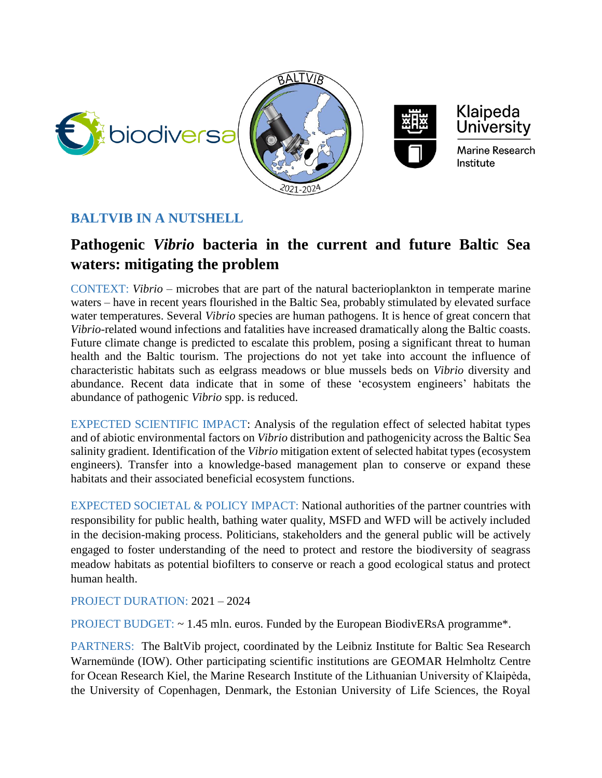







Marine Research Institute

## **BALTVIB IN A NUTSHELL**

## **Pathogenic** *Vibrio* **bacteria in the current and future Baltic Sea waters: mitigating the problem**

CONTEXT: *Vibrio* – microbes that are part of the natural bacterioplankton in temperate marine waters – have in recent years flourished in the Baltic Sea, probably stimulated by elevated surface water temperatures. Several *Vibrio* species are human pathogens. It is hence of great concern that *Vibrio*-related wound infections and fatalities have increased dramatically along the Baltic coasts. Future climate change is predicted to escalate this problem, posing a significant threat to human health and the Baltic tourism. The projections do not yet take into account the influence of characteristic habitats such as eelgrass meadows or blue mussels beds on *Vibrio* diversity and abundance. Recent data indicate that in some of these 'ecosystem engineers' habitats the abundance of pathogenic *Vibrio* spp. is reduced.

EXPECTED SCIENTIFIC IMPACT: Analysis of the regulation effect of selected habitat types and of abiotic environmental factors on *Vibrio* distribution and pathogenicity across the Baltic Sea salinity gradient. Identification of the *Vibrio* mitigation extent of selected habitat types (ecosystem engineers). Transfer into a knowledge-based management plan to conserve or expand these habitats and their associated beneficial ecosystem functions.

EXPECTED SOCIETAL & POLICY IMPACT: National authorities of the partner countries with responsibility for public health, bathing water quality, MSFD and WFD will be actively included in the decision-making process. Politicians, stakeholders and the general public will be actively engaged to foster understanding of the need to protect and restore the biodiversity of seagrass meadow habitats as potential biofilters to conserve or reach a good ecological status and protect human health.

PROJECT DURATION: 2021 – 2024

PROJECT BUDGET: ~ 1.45 mln. euros. Funded by the European BiodivERsA programme\*.

PARTNERS: The BaltVib project, coordinated by the Leibniz Institute for Baltic Sea Research Warnemünde (IOW). Other participating scientific institutions are GEOMAR Helmholtz Centre for Ocean Research Kiel, the Marine Research Institute of the Lithuanian University of Klaipėda, the University of Copenhagen, Denmark, the Estonian University of Life Sciences, the Royal